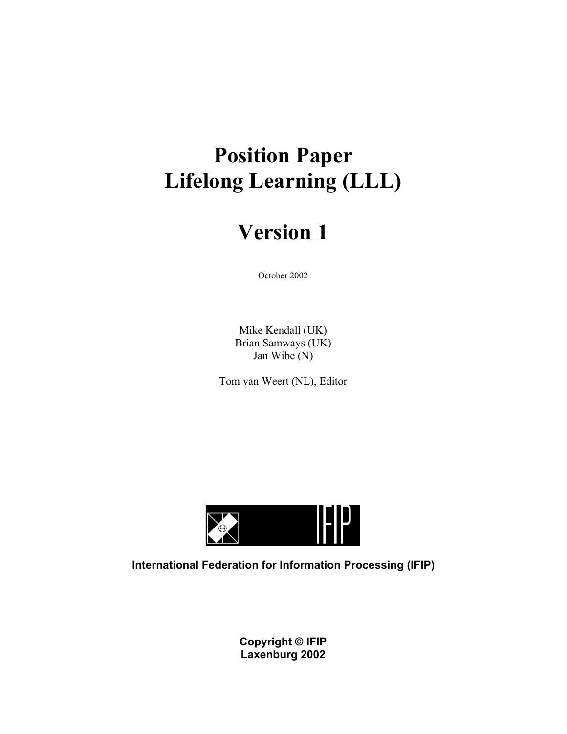# **Position Paper Lifelong Learning (LLL)**

# **Version 1**

October 2002

Mike Kendall (UK) Brian Samways (UK) Jan Wibe (N)

Tom van Weert (NL), Editor



**International Federation for Information Processing (IFIP)**

**Copyright © IFIP Laxenburg 2002**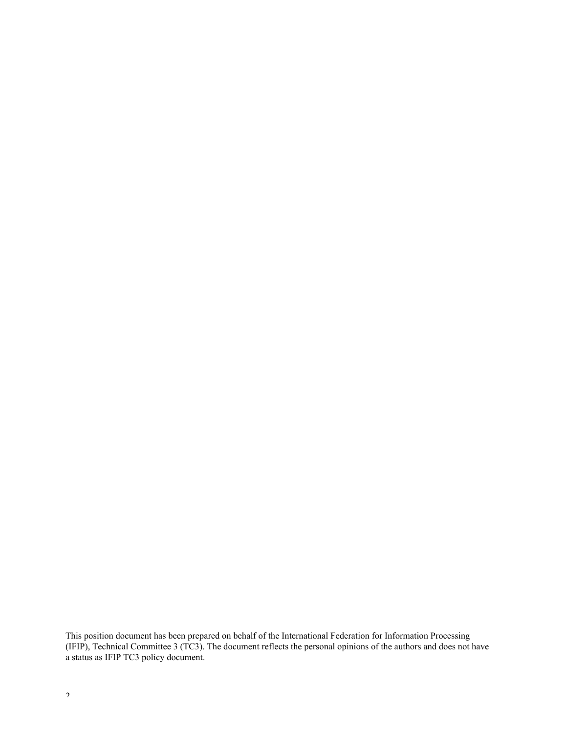This position document has been prepared on behalf of the International Federation for Information Processing (IFIP), Technical Committee 3 (TC3). The document reflects the personal opinions of the authors and does not have a status as IFIP TC3 policy document.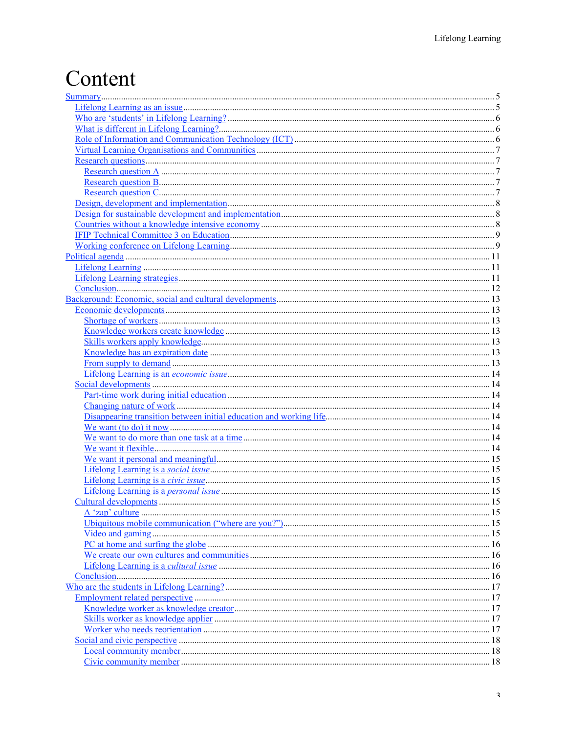# Content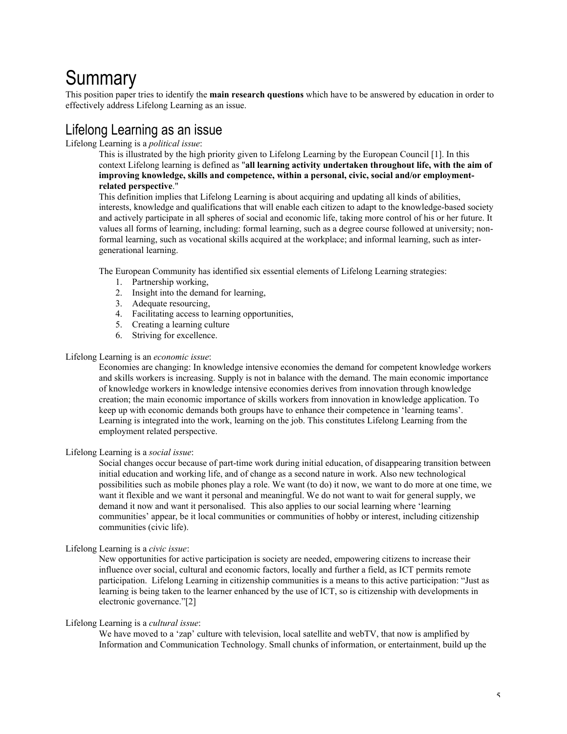# **Summary**

This position paper tries to identify the **main research questions** which have to be answered by education in order to effectively address Lifelong Learning as an issue.

## Lifelong Learning as an issue

Lifelong Learning is a *political issue*:

This is illustrated by the high priority given to Lifelong Learning by the European Council [1]. In this context Lifelong learning is defined as "**all learning activity undertaken throughout life, with the aim of improving knowledge, skills and competence, within a personal, civic, social and/or employmentrelated perspective**."

This definition implies that Lifelong Learning is about acquiring and updating all kinds of abilities, interests, knowledge and qualifications that will enable each citizen to adapt to the knowledge-based society and actively participate in all spheres of social and economic life, taking more control of his or her future. It values all forms of learning, including: formal learning, such as a degree course followed at university; nonformal learning, such as vocational skills acquired at the workplace; and informal learning, such as intergenerational learning.

The European Community has identified six essential elements of Lifelong Learning strategies:

- 1. Partnership working,
- 2. Insight into the demand for learning,
- 3. Adequate resourcing,
- 4. Facilitating access to learning opportunities,
- 5. Creating a learning culture
- 6. Striving for excellence.

#### Lifelong Learning is an *economic issue*:

Economies are changing: In knowledge intensive economies the demand for competent knowledge workers and skills workers is increasing. Supply is not in balance with the demand. The main economic importance of knowledge workers in knowledge intensive economies derives from innovation through knowledge creation; the main economic importance of skills workers from innovation in knowledge application. To keep up with economic demands both groups have to enhance their competence in 'learning teams'. Learning is integrated into the work, learning on the job. This constitutes Lifelong Learning from the employment related perspective.

#### Lifelong Learning is a *social issue*:

Social changes occur because of part-time work during initial education, of disappearing transition between initial education and working life, and of change as a second nature in work. Also new technological possibilities such as mobile phones play a role. We want (to do) it now, we want to do more at one time, we want it flexible and we want it personal and meaningful. We do not want to wait for general supply, we demand it now and want it personalised. This also applies to our social learning where 'learning communities' appear, be it local communities or communities of hobby or interest, including citizenship communities (civic life).

#### Lifelong Learning is a *civic issue*:

New opportunities for active participation is society are needed, empowering citizens to increase their influence over social, cultural and economic factors, locally and further a field, as ICT permits remote participation. Lifelong Learning in citizenship communities is a means to this active participation: "Just as learning is being taken to the learner enhanced by the use of ICT, so is citizenship with developments in electronic governance."[2]

#### Lifelong Learning is a *cultural issue*:

We have moved to a 'zap' culture with television, local satellite and webTV, that now is amplified by Information and Communication Technology. Small chunks of information, or entertainment, build up the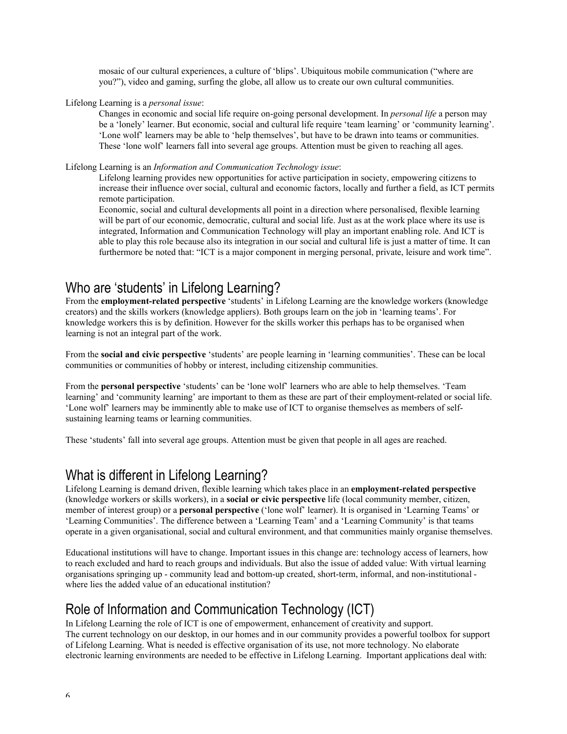mosaic of our cultural experiences, a culture of 'blips'. Ubiquitous mobile communication ("where are you?"), video and gaming, surfing the globe, all allow us to create our own cultural communities.

#### Lifelong Learning is a *personal issue*:

Changes in economic and social life require on-going personal development. In *personal life* a person may be a 'lonely' learner. But economic, social and cultural life require 'team learning' or 'community learning'. 'Lone wolf' learners may be able to 'help themselves', but have to be drawn into teams or communities. These 'lone wolf' learners fall into several age groups. Attention must be given to reaching all ages.

#### Lifelong Learning is an *Information and Communication Technology issue*:

Lifelong learning provides new opportunities for active participation in society, empowering citizens to increase their influence over social, cultural and economic factors, locally and further a field, as ICT permits remote participation.

Economic, social and cultural developments all point in a direction where personalised, flexible learning will be part of our economic, democratic, cultural and social life. Just as at the work place where its use is integrated, Information and Communication Technology will play an important enabling role. And ICT is able to play this role because also its integration in our social and cultural life is just a matter of time. It can furthermore be noted that: "ICT is a major component in merging personal, private, leisure and work time".

## Who are 'students' in Lifelong Learning?

From the **employment-related perspective** 'students' in Lifelong Learning are the knowledge workers (knowledge creators) and the skills workers (knowledge appliers). Both groups learn on the job in 'learning teams'. For knowledge workers this is by definition. However for the skills worker this perhaps has to be organised when learning is not an integral part of the work.

From the **social and civic perspective** 'students' are people learning in 'learning communities'. These can be local communities or communities of hobby or interest, including citizenship communities.

From the **personal perspective** 'students' can be 'lone wolf' learners who are able to help themselves. 'Team learning' and 'community learning' are important to them as these are part of their employment-related or social life. 'Lone wolf' learners may be imminently able to make use of ICT to organise themselves as members of selfsustaining learning teams or learning communities.

These 'students' fall into several age groups. Attention must be given that people in all ages are reached.

## What is different in Lifelong Learning?

Lifelong Learning is demand driven, flexible learning which takes place in an **employment-related perspective** (knowledge workers or skills workers), in a **social or civic perspective** life (local community member, citizen, member of interest group) or a **personal perspective** ('lone wolf' learner). It is organised in 'Learning Teams' or 'Learning Communities'. The difference between a 'Learning Team' and a 'Learning Community' is that teams operate in a given organisational, social and cultural environment, and that communities mainly organise themselves.

Educational institutions will have to change. Important issues in this change are: technology access of learners, how to reach excluded and hard to reach groups and individuals. But also the issue of added value: With virtual learning organisations springing up - community lead and bottom-up created, short-term, informal, and non-institutional where lies the added value of an educational institution?

## Role of Information and Communication Technology (ICT)

In Lifelong Learning the role of ICT is one of empowerment, enhancement of creativity and support. The current technology on our desktop, in our homes and in our community provides a powerful toolbox for support of Lifelong Learning. What is needed is effective organisation of its use, not more technology. No elaborate electronic learning environments are needed to be effective in Lifelong Learning. Important applications deal with: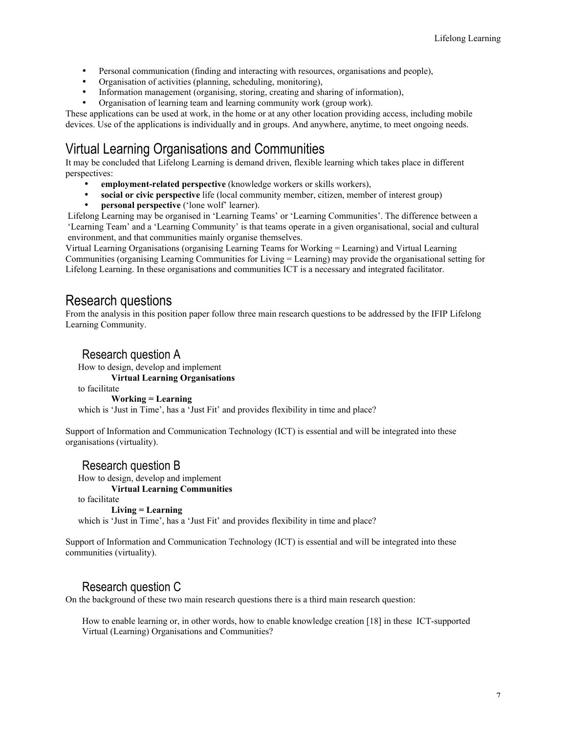Personal communication (finding and interacting with resources, organisations and people), Organisation of activities (planning, scheduling, monitoring),

Information management (organising, storing, creating and sharing of information),

Organisation of learning team and learning community work (group work).

These applications can be used at work, in the home or at any other location providing access, including mobile devices. Use of the applications is individually and in groups. And anywhere, anytime, to meet ongoing needs.

## Virtual Learning Organisations and Communities

It may be concluded that Lifelong Learning is demand driven, flexible learning which takes place in different perspectives:

**employment-related perspective** (knowledge workers or skills workers),

**social or civic perspective** life (local community member, citizen, member of interest group) **personal perspective** ('lone wolf' learner).

Lifelong Learning may be organised in 'Learning Teams' or 'Learning Communities'. The difference between a 'Learning Team' and a 'Learning Community' is that teams operate in a given organisational, social and cultural environment, and that communities mainly organise themselves.

Virtual Learning Organisations (organising Learning Teams for Working = Learning) and Virtual Learning Communities (organising Learning Communities for Living = Learning) may provide the organisational setting for Lifelong Learning. In these organisations and communities ICT is a necessary and integrated facilitator.

## Research questions

From the analysis in this position paper follow three main research questions to be addressed by the IFIP Lifelong Learning Community.

### Research question A

How to design, develop and implement

**Virtual Learning Organisations**

to facilitate

**Working = Learning**

which is 'Just in Time', has a 'Just Fit' and provides flexibility in time and place?

Support of Information and Communication Technology (ICT) is essential and will be integrated into these organisations (virtuality).

## Research question B

How to design, develop and implement

#### **Virtual Learning Communities**

to facilitate

**Living = Learning**

which is 'Just in Time', has a 'Just Fit' and provides flexibility in time and place?

Support of Information and Communication Technology (ICT) is essential and will be integrated into these communities (virtuality).

## Research question C

On the background of these two main research questions there is a third main research question:

How to enable learning or, in other words, how to enable knowledge creation [18] in these ICT-supported Virtual (Learning) Organisations and Communities?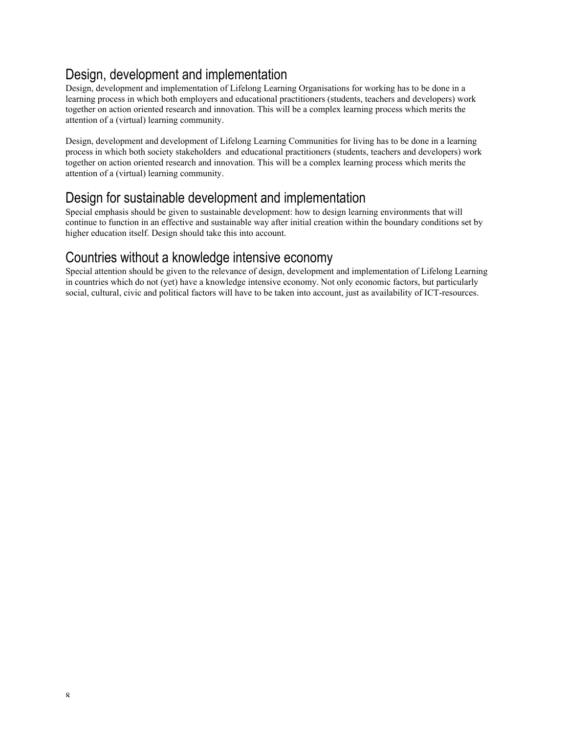## Design, development and implementation

Design, development and implementation of Lifelong Learning Organisations for working has to be done in a learning process in which both employers and educational practitioners (students, teachers and developers) work together on action oriented research and innovation. This will be a complex learning process which merits the attention of a (virtual) learning community.

Design, development and development of Lifelong Learning Communities for living has to be done in a learning process in which both society stakeholders and educational practitioners (students, teachers and developers) work together on action oriented research and innovation. This will be a complex learning process which merits the attention of a (virtual) learning community.

## Design for sustainable development and implementation

Special emphasis should be given to sustainable development: how to design learning environments that will continue to function in an effective and sustainable way after initial creation within the boundary conditions set by higher education itself. Design should take this into account.

## Countries without a knowledge intensive economy

Special attention should be given to the relevance of design, development and implementation of Lifelong Learning in countries which do not (yet) have a knowledge intensive economy. Not only economic factors, but particularly social, cultural, civic and political factors will have to be taken into account, just as availability of ICT-resources.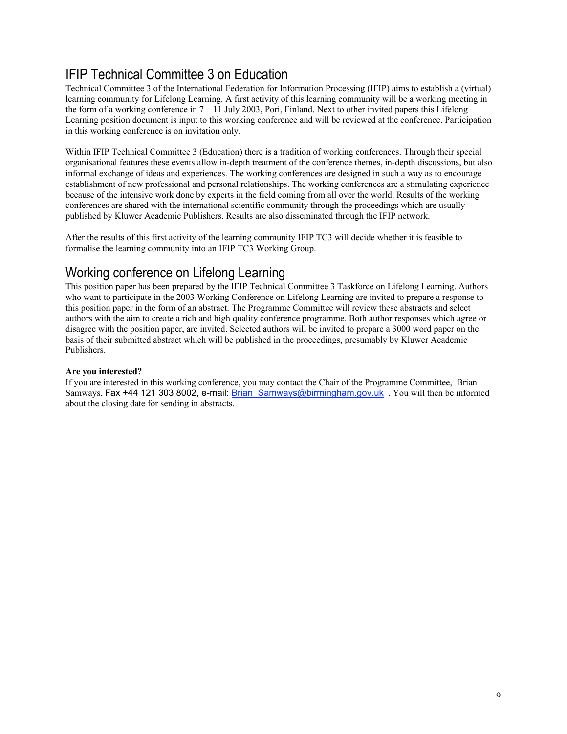# IFIP Technical Committee 3 on Education

Technical Committee 3 of the International Federation for Information Processing (IFIP) aims to establish a (virtual) learning community for Lifelong Learning. A first activity of this learning community will be a working meeting in the form of a working conference in  $7 - 11$  July 2003, Pori, Finland. Next to other invited papers this Lifelong Learning position document is input to this working conference and will be reviewed at the conference. Participation in this working conference is on invitation only.

Within IFIP Technical Committee 3 (Education) there is a tradition of working conferences. Through their special organisational features these events allow in-depth treatment of the conference themes, in-depth discussions, but also informal exchange of ideas and experiences. The working conferences are designed in such a way as to encourage establishment of new professional and personal relationships. The working conferences are a stimulating experience because of the intensive work done by experts in the field coming from all over the world. Results of the working conferences are shared with the international scientific community through the proceedings which are usually published by Kluwer Academic Publishers. Results are also disseminated through the IFIP network.

After the results of this first activity of the learning community IFIP TC3 will decide whether it is feasible to formalise the learning community into an IFIP TC3 Working Group.

## Working conference on Lifelong Learning

This position paper has been prepared by the IFIP Technical Committee 3 Taskforce on Lifelong Learning. Authors who want to participate in the 2003 Working Conference on Lifelong Learning are invited to prepare a response to this position paper in the form of an abstract. The Programme Committee will review these abstracts and select authors with the aim to create a rich and high quality conference programme. Both author responses which agree or disagree with the position paper, are invited. Selected authors will be invited to prepare a 3000 word paper on the basis of their submitted abstract which will be published in the proceedings, presumably by Kluwer Academic Publishers.

#### **Are you interested?**

If you are interested in this working conference, you may contact the Chair of the Programme Committee, Brian Samways, Fax +44 121 303 8002, e-mail: **Brian\_Samways@birmingham.gov.uk** . You will then be informed about the closing date for sending in abstracts.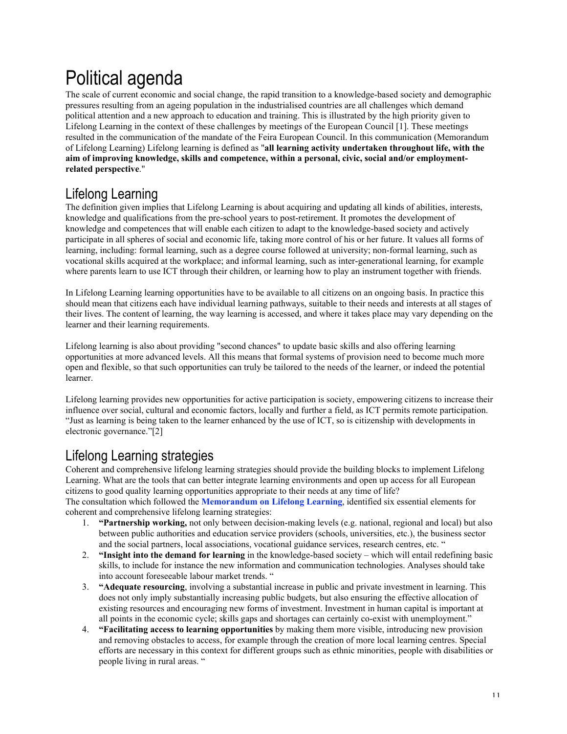# Political agenda

The scale of current economic and social change, the rapid transition to a knowledge-based society and demographic pressures resulting from an ageing population in the industrialised countries are all challenges which demand political attention and a new approach to education and training. This is illustrated by the high priority given to Lifelong Learning in the context of these challenges by meetings of the European Council [1]. These meetings resulted in the communication of the mandate of the Feira European Council. In this communication (Memorandum of Lifelong Learning) Lifelong learning is defined as "**all learning activity undertaken throughout life, with the aim of improving knowledge, skills and competence, within a personal, civic, social and/or employmentrelated perspective**."

# Lifelong Learning

The definition given implies that Lifelong Learning is about acquiring and updating all kinds of abilities, interests, knowledge and qualifications from the pre-school years to post-retirement. It promotes the development of knowledge and competences that will enable each citizen to adapt to the knowledge-based society and actively participate in all spheres of social and economic life, taking more control of his or her future. It values all forms of learning, including: formal learning, such as a degree course followed at university; non-formal learning, such as vocational skills acquired at the workplace; and informal learning, such as inter-generational learning, for example where parents learn to use ICT through their children, or learning how to play an instrument together with friends.

In Lifelong Learning learning opportunities have to be available to all citizens on an ongoing basis. In practice this should mean that citizens each have individual learning pathways, suitable to their needs and interests at all stages of their lives. The content of learning, the way learning is accessed, and where it takes place may vary depending on the learner and their learning requirements.

Lifelong learning is also about providing "second chances" to update basic skills and also offering learning opportunities at more advanced levels. All this means that formal systems of provision need to become much more open and flexible, so that such opportunities can truly be tailored to the needs of the learner, or indeed the potential learner.

Lifelong learning provides new opportunities for active participation is society, empowering citizens to increase their influence over social, cultural and economic factors, locally and further a field, as ICT permits remote participation. "Just as learning is being taken to the learner enhanced by the use of ICT, so is citizenship with developments in electronic governance."[2]

# Lifelong Learning strategies

Coherent and comprehensive lifelong learning strategies should provide the building blocks to implement Lifelong Learning. What are the tools that can better integrate learning environments and open up access for all European citizens to good quality learning opportunities appropriate to their needs at any time of life? The consultation which followed the **Memorandum on Lifelong Learning**, identified six essential elements for coherent and comprehensive lifelong learning strategies:

- 1. **"Partnership working,** not only between decision-making levels (e.g. national, regional and local) but also between public authorities and education service providers (schools, universities, etc.), the business sector and the social partners, local associations, vocational guidance services, research centres, etc. "
- 2. **"Insight into the demand for learning** in the knowledge-based society which will entail redefining basic skills, to include for instance the new information and communication technologies. Analyses should take into account foreseeable labour market trends. "
- 3. **"Adequate resourcing**, involving a substantial increase in public and private investment in learning. This does not only imply substantially increasing public budgets, but also ensuring the effective allocation of existing resources and encouraging new forms of investment. Investment in human capital is important at all points in the economic cycle; skills gaps and shortages can certainly co-exist with unemployment."
- 4. **"Facilitating access to learning opportunities** by making them more visible, introducing new provision and removing obstacles to access, for example through the creation of more local learning centres. Special efforts are necessary in this context for different groups such as ethnic minorities, people with disabilities or people living in rural areas. "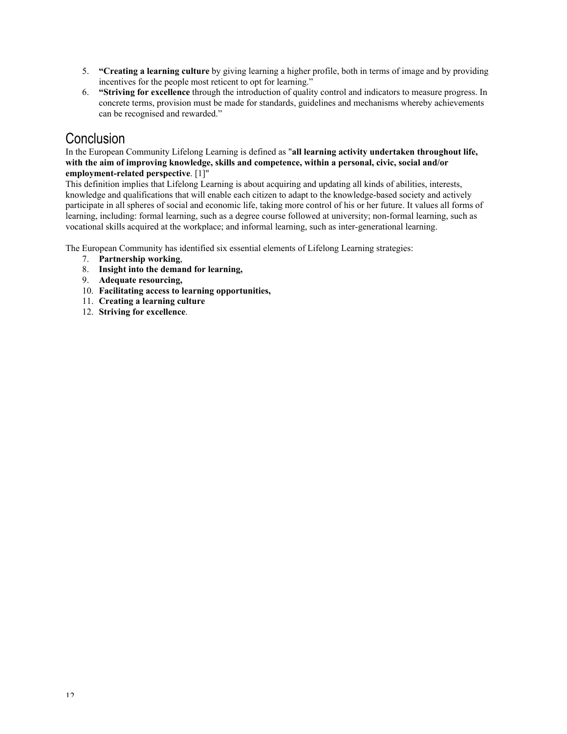- 5. **"Creating a learning culture** by giving learning a higher profile, both in terms of image and by providing incentives for the people most reticent to opt for learning."
- 6. **"Striving for excellence** through the introduction of quality control and indicators to measure progress. In concrete terms, provision must be made for standards, guidelines and mechanisms whereby achievements can be recognised and rewarded."

## **Conclusion**

#### In the European Community Lifelong Learning is defined as "**all learning activity undertaken throughout life, with the aim of improving knowledge, skills and competence, within a personal, civic, social and/or employment-related perspective**. [1]"

This definition implies that Lifelong Learning is about acquiring and updating all kinds of abilities, interests, knowledge and qualifications that will enable each citizen to adapt to the knowledge-based society and actively participate in all spheres of social and economic life, taking more control of his or her future. It values all forms of learning, including: formal learning, such as a degree course followed at university; non-formal learning, such as vocational skills acquired at the workplace; and informal learning, such as inter-generational learning.

The European Community has identified six essential elements of Lifelong Learning strategies:

- 7. **Partnership working**,
- 8. **Insight into the demand for learning,**
- 9. **Adequate resourcing,**
- 10. **Facilitating access to learning opportunities,**
- 11. **Creating a learning culture**
- 12. **Striving for excellence**.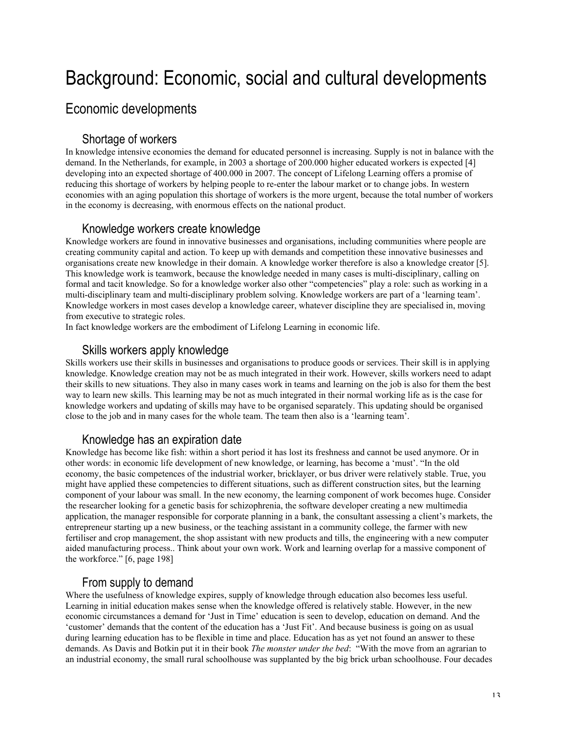# Background: Economic, social and cultural developments

## Economic developments

## Shortage of workers

In knowledge intensive economies the demand for educated personnel is increasing. Supply is not in balance with the demand. In the Netherlands, for example, in 2003 a shortage of 200.000 higher educated workers is expected [4] developing into an expected shortage of 400.000 in 2007. The concept of Lifelong Learning offers a promise of reducing this shortage of workers by helping people to re-enter the labour market or to change jobs. In western economies with an aging population this shortage of workers is the more urgent, because the total number of workers in the economy is decreasing, with enormous effects on the national product.

## Knowledge workers create knowledge

Knowledge workers are found in innovative businesses and organisations, including communities where people are creating community capital and action. To keep up with demands and competition these innovative businesses and organisations create new knowledge in their domain. A knowledge worker therefore is also a knowledge creator [5]. This knowledge work is teamwork, because the knowledge needed in many cases is multi-disciplinary, calling on formal and tacit knowledge. So for a knowledge worker also other "competencies" play a role: such as working in a multi-disciplinary team and multi-disciplinary problem solving. Knowledge workers are part of a 'learning team'. Knowledge workers in most cases develop a knowledge career, whatever discipline they are specialised in, moving from executive to strategic roles.

In fact knowledge workers are the embodiment of Lifelong Learning in economic life.

### Skills workers apply knowledge

Skills workers use their skills in businesses and organisations to produce goods or services. Their skill is in applying knowledge. Knowledge creation may not be as much integrated in their work. However, skills workers need to adapt their skills to new situations. They also in many cases work in teams and learning on the job is also for them the best way to learn new skills. This learning may be not as much integrated in their normal working life as is the case for knowledge workers and updating of skills may have to be organised separately. This updating should be organised close to the job and in many cases for the whole team. The team then also is a 'learning team'.

### Knowledge has an expiration date

Knowledge has become like fish: within a short period it has lost its freshness and cannot be used anymore. Or in other words: in economic life development of new knowledge, or learning, has become a 'must'. "In the old economy, the basic competences of the industrial worker, bricklayer, or bus driver were relatively stable. True, you might have applied these competencies to different situations, such as different construction sites, but the learning component of your labour was small. In the new economy, the learning component of work becomes huge. Consider the researcher looking for a genetic basis for schizophrenia, the software developer creating a new multimedia application, the manager responsible for corporate planning in a bank, the consultant assessing a client's markets, the entrepreneur starting up a new business, or the teaching assistant in a community college, the farmer with new fertiliser and crop management, the shop assistant with new products and tills, the engineering with a new computer aided manufacturing process.. Think about your own work. Work and learning overlap for a massive component of the workforce." [6, page 198]

## From supply to demand

Where the usefulness of knowledge expires, supply of knowledge through education also becomes less useful. Learning in initial education makes sense when the knowledge offered is relatively stable. However, in the new economic circumstances a demand for 'Just in Time' education is seen to develop, education on demand. And the 'customer' demands that the content of the education has a 'Just Fit'. And because business is going on as usual during learning education has to be flexible in time and place. Education has as yet not found an answer to these demands. As Davis and Botkin put it in their book *The monster under the bed*: "With the move from an agrarian to an industrial economy, the small rural schoolhouse was supplanted by the big brick urban schoolhouse. Four decades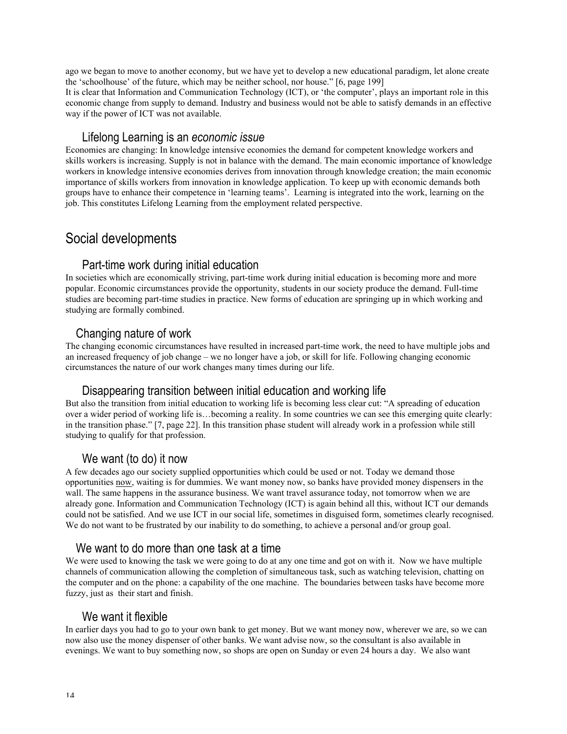ago we began to move to another economy, but we have yet to develop a new educational paradigm, let alone create the 'schoolhouse' of the future, which may be neither school, nor house." [6, page 199] It is clear that Information and Communication Technology (ICT), or 'the computer', plays an important role in this economic change from supply to demand. Industry and business would not be able to satisfy demands in an effective way if the power of ICT was not available.

### Lifelong Learning is an *economic issue*

Economies are changing: In knowledge intensive economies the demand for competent knowledge workers and skills workers is increasing. Supply is not in balance with the demand. The main economic importance of knowledge workers in knowledge intensive economies derives from innovation through knowledge creation; the main economic importance of skills workers from innovation in knowledge application. To keep up with economic demands both groups have to enhance their competence in 'learning teams'. Learning is integrated into the work, learning on the job. This constitutes Lifelong Learning from the employment related perspective.

## Social developments

### Part-time work during initial education

In societies which are economically striving, part-time work during initial education is becoming more and more popular. Economic circumstances provide the opportunity, students in our society produce the demand. Full-time studies are becoming part-time studies in practice. New forms of education are springing up in which working and studying are formally combined.

### Changing nature of work

The changing economic circumstances have resulted in increased part-time work, the need to have multiple jobs and an increased frequency of job change – we no longer have a job, or skill for life. Following changing economic circumstances the nature of our work changes many times during our life.

### Disappearing transition between initial education and working life

But also the transition from initial education to working life is becoming less clear cut: "A spreading of education over a wider period of working life is…becoming a reality. In some countries we can see this emerging quite clearly: in the transition phase." [7, page 22]. In this transition phase student will already work in a profession while still studying to qualify for that profession.

### We want (to do) it now

A few decades ago our society supplied opportunities which could be used or not. Today we demand those opportunities now, waiting is for dummies. We want money now, so banks have provided money dispensers in the wall. The same happens in the assurance business. We want travel assurance today, not tomorrow when we are already gone. Information and Communication Technology (ICT) is again behind all this, without ICT our demands could not be satisfied. And we use ICT in our social life, sometimes in disguised form, sometimes clearly recognised. We do not want to be frustrated by our inability to do something, to achieve a personal and/or group goal.

### We want to do more than one task at a time

We were used to knowing the task we were going to do at any one time and got on with it. Now we have multiple channels of communication allowing the completion of simultaneous task, such as watching television, chatting on the computer and on the phone: a capability of the one machine. The boundaries between tasks have become more fuzzy, just as their start and finish.

### We want it flexible

In earlier days you had to go to your own bank to get money. But we want money now, wherever we are, so we can now also use the money dispenser of other banks. We want advise now, so the consultant is also available in evenings. We want to buy something now, so shops are open on Sunday or even 24 hours a day. We also want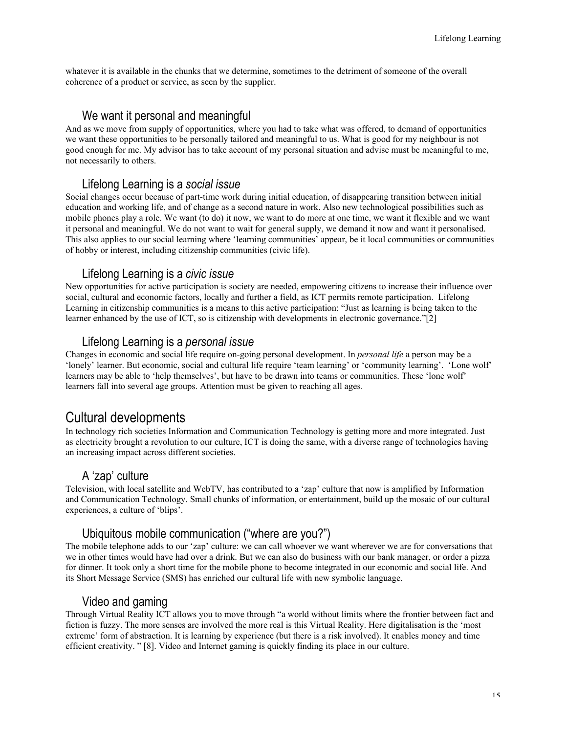whatever it is available in the chunks that we determine, sometimes to the detriment of someone of the overall coherence of a product or service, as seen by the supplier.

## We want it personal and meaningful

And as we move from supply of opportunities, where you had to take what was offered, to demand of opportunities we want these opportunities to be personally tailored and meaningful to us. What is good for my neighbour is not good enough for me. My advisor has to take account of my personal situation and advise must be meaningful to me, not necessarily to others.

### Lifelong Learning is a *social issue*

Social changes occur because of part-time work during initial education, of disappearing transition between initial education and working life, and of change as a second nature in work. Also new technological possibilities such as mobile phones play a role. We want (to do) it now, we want to do more at one time, we want it flexible and we want it personal and meaningful. We do not want to wait for general supply, we demand it now and want it personalised. This also applies to our social learning where 'learning communities' appear, be it local communities or communities of hobby or interest, including citizenship communities (civic life).

### Lifelong Learning is a *civic issue*

New opportunities for active participation is society are needed, empowering citizens to increase their influence over social, cultural and economic factors, locally and further a field, as ICT permits remote participation. Lifelong Learning in citizenship communities is a means to this active participation: "Just as learning is being taken to the learner enhanced by the use of ICT, so is citizenship with developments in electronic governance."[2]

## Lifelong Learning is a *personal issue*

Changes in economic and social life require on-going personal development. In *personal life* a person may be a 'lonely' learner. But economic, social and cultural life require 'team learning' or 'community learning'. 'Lone wolf' learners may be able to 'help themselves', but have to be drawn into teams or communities. These 'lone wolf' learners fall into several age groups. Attention must be given to reaching all ages.

## Cultural developments

In technology rich societies Information and Communication Technology is getting more and more integrated. Just as electricity brought a revolution to our culture, ICT is doing the same, with a diverse range of technologies having an increasing impact across different societies.

## A 'zap' culture

Television, with local satellite and WebTV, has contributed to a 'zap' culture that now is amplified by Information and Communication Technology. Small chunks of information, or entertainment, build up the mosaic of our cultural experiences, a culture of 'blips'.

## Ubiquitous mobile communication ("where are you?")

The mobile telephone adds to our 'zap' culture: we can call whoever we want wherever we are for conversations that we in other times would have had over a drink. But we can also do business with our bank manager, or order a pizza for dinner. It took only a short time for the mobile phone to become integrated in our economic and social life. And its Short Message Service (SMS) has enriched our cultural life with new symbolic language.

## Video and gaming

Through Virtual Reality ICT allows you to move through "a world without limits where the frontier between fact and fiction is fuzzy. The more senses are involved the more real is this Virtual Reality. Here digitalisation is the 'most extreme' form of abstraction. It is learning by experience (but there is a risk involved). It enables money and time efficient creativity. " [8]. Video and Internet gaming is quickly finding its place in our culture.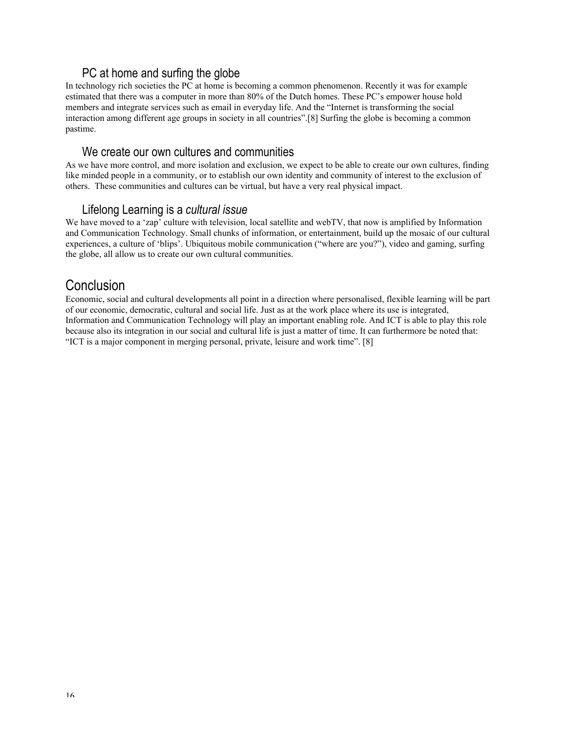### PC at home and surfing the globe

In technology rich societies the PC at home is becoming a common phenomenon. Recently it was for example estimated that there was a computer in more than 80% of the Dutch homes. These PC's empower house hold members and integrate services such as email in everyday life. And the "Internet is transforming the social interaction among different age groups in society in all countries".[8] Surfing the globe is becoming a common pastime.

#### We create our own cultures and communities

As we have more control, and more isolation and exclusion, we expect to be able to create our own cultures, finding like minded people in a community, or to establish our own identity and community of interest to the exclusion of others. These communities and cultures can be virtual, but have a very real physical impact.

### Lifelong Learning is a *cultural issue*

We have moved to a 'zap' culture with television, local satellite and webTV, that now is amplified by Information and Communication Technology. Small chunks of information, or entertainment, build up the mosaic of our cultural experiences, a culture of 'blips'. Ubiquitous mobile communication ("where are you?"), video and gaming, surfing the globe, all allow us to create our own cultural communities.

## **Conclusion**

Economic, social and cultural developments all point in a direction where personalised, flexible learning will be part of our economic, democratic, cultural and social life. Just as at the work place where its use is integrated, Information and Communication Technology will play an important enabling role. And ICT is able to play this role because also its integration in our social and cultural life is just a matter of time. It can furthermore be noted that: "ICT is a major component in merging personal, private, leisure and work time". [8]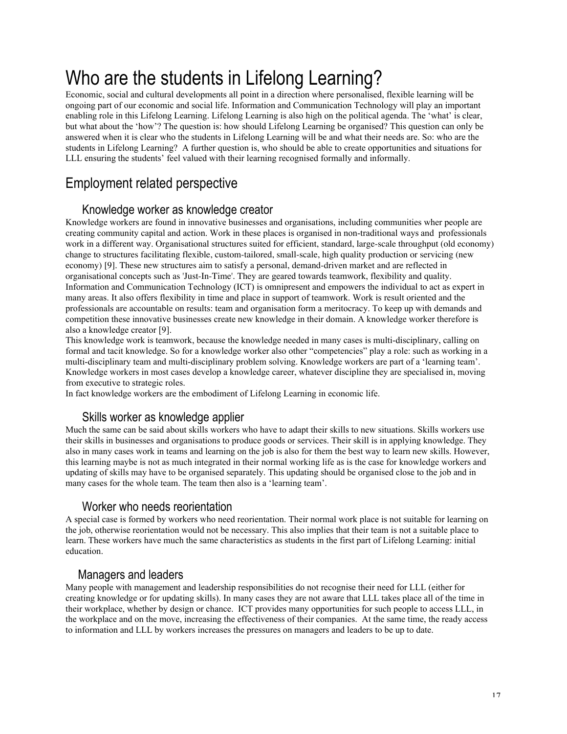# Who are the students in Lifelong Learning?

Economic, social and cultural developments all point in a direction where personalised, flexible learning will be ongoing part of our economic and social life. Information and Communication Technology will play an important enabling role in this Lifelong Learning. Lifelong Learning is also high on the political agenda. The 'what' is clear, but what about the 'how'? The question is: how should Lifelong Learning be organised? This question can only be answered when it is clear who the students in Lifelong Learning will be and what their needs are. So: who are the students in Lifelong Learning? A further question is, who should be able to create opportunities and situations for LLL ensuring the students' feel valued with their learning recognised formally and informally.

# Employment related perspective

## Knowledge worker as knowledge creator

Knowledge workers are found in innovative businesses and organisations, including communities wher people are creating community capital and action. Work in these places is organised in non-traditional ways and professionals work in a different way. Organisational structures suited for efficient, standard, large-scale throughput (old economy) change to structures facilitating flexible, custom-tailored, small-scale, high quality production or servicing (new economy) [9]. These new structures aim to satisfy a personal, demand-driven market and are reflected in organisational concepts such as 'Just-In-Time'. They are geared towards teamwork, flexibility and quality. Information and Communication Technology (ICT) is omnipresent and empowers the individual to act as expert in many areas. It also offers flexibility in time and place in support of teamwork. Work is result oriented and the professionals are accountable on results: team and organisation form a meritocracy. To keep up with demands and competition these innovative businesses create new knowledge in their domain. A knowledge worker therefore is also a knowledge creator [9].

This knowledge work is teamwork, because the knowledge needed in many cases is multi-disciplinary, calling on formal and tacit knowledge. So for a knowledge worker also other "competencies" play a role: such as working in a multi-disciplinary team and multi-disciplinary problem solving. Knowledge workers are part of a 'learning team'. Knowledge workers in most cases develop a knowledge career, whatever discipline they are specialised in, moving from executive to strategic roles.

In fact knowledge workers are the embodiment of Lifelong Learning in economic life.

## Skills worker as knowledge applier

Much the same can be said about skills workers who have to adapt their skills to new situations. Skills workers use their skills in businesses and organisations to produce goods or services. Their skill is in applying knowledge. They also in many cases work in teams and learning on the job is also for them the best way to learn new skills. However, this learning maybe is not as much integrated in their normal working life as is the case for knowledge workers and updating of skills may have to be organised separately. This updating should be organised close to the job and in many cases for the whole team. The team then also is a 'learning team'.

### Worker who needs reorientation

A special case is formed by workers who need reorientation. Their normal work place is not suitable for learning on the job, otherwise reorientation would not be necessary. This also implies that their team is not a suitable place to learn. These workers have much the same characteristics as students in the first part of Lifelong Learning: initial education.

## Managers and leaders

Many people with management and leadership responsibilities do not recognise their need for LLL (either for creating knowledge or for updating skills). In many cases they are not aware that LLL takes place all of the time in their workplace, whether by design or chance. ICT provides many opportunities for such people to access LLL, in the workplace and on the move, increasing the effectiveness of their companies. At the same time, the ready access to information and LLL by workers increases the pressures on managers and leaders to be up to date.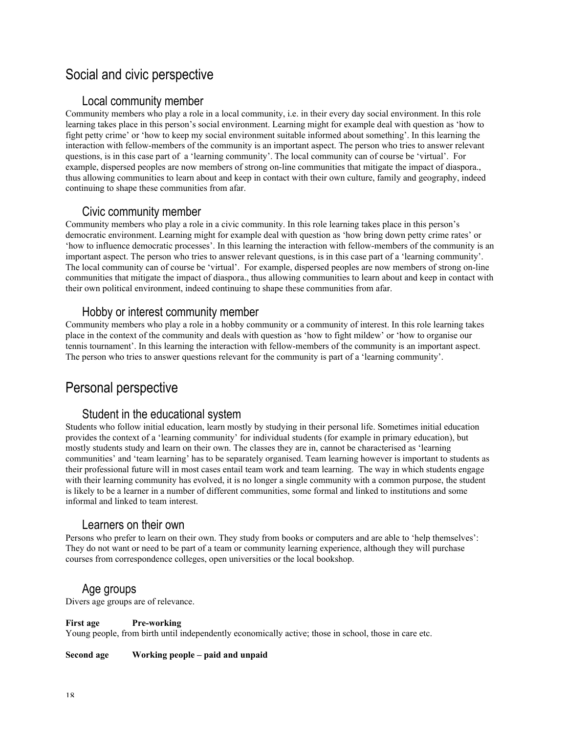## Social and civic perspective

### Local community member

Community members who play a role in a local community, i.e. in their every day social environment. In this role learning takes place in this person's social environment. Learning might for example deal with question as 'how to fight petty crime' or 'how to keep my social environment suitable informed about something'. In this learning the interaction with fellow-members of the community is an important aspect. The person who tries to answer relevant questions, is in this case part of a 'learning community'. The local community can of course be 'virtual'. For example, dispersed peoples are now members of strong on-line communities that mitigate the impact of diaspora., thus allowing communities to learn about and keep in contact with their own culture, family and geography, indeed continuing to shape these communities from afar.

#### Civic community member

Community members who play a role in a civic community. In this role learning takes place in this person's democratic environment. Learning might for example deal with question as 'how bring down petty crime rates' or 'how to influence democratic processes'. In this learning the interaction with fellow-members of the community is an important aspect. The person who tries to answer relevant questions, is in this case part of a 'learning community'. The local community can of course be 'virtual'. For example, dispersed peoples are now members of strong on-line communities that mitigate the impact of diaspora., thus allowing communities to learn about and keep in contact with their own political environment, indeed continuing to shape these communities from afar.

### Hobby or interest community member

Community members who play a role in a hobby community or a community of interest. In this role learning takes place in the context of the community and deals with question as 'how to fight mildew' or 'how to organise our tennis tournament'. In this learning the interaction with fellow-members of the community is an important aspect. The person who tries to answer questions relevant for the community is part of a 'learning community'.

## Personal perspective

### Student in the educational system

Students who follow initial education, learn mostly by studying in their personal life. Sometimes initial education provides the context of a 'learning community' for individual students (for example in primary education), but mostly students study and learn on their own. The classes they are in, cannot be characterised as 'learning communities' and 'team learning' has to be separately organised. Team learning however is important to students as their professional future will in most cases entail team work and team learning. The way in which students engage with their learning community has evolved, it is no longer a single community with a common purpose, the student is likely to be a learner in a number of different communities, some formal and linked to institutions and some informal and linked to team interest.

#### Learners on their own

Persons who prefer to learn on their own. They study from books or computers and are able to 'help themselves': They do not want or need to be part of a team or community learning experience, although they will purchase courses from correspondence colleges, open universities or the local bookshop.

### Age groups

Divers age groups are of relevance.

#### **First age Pre-working**

Young people, from birth until independently economically active; those in school, those in care etc.

#### **Second age Working people – paid and unpaid**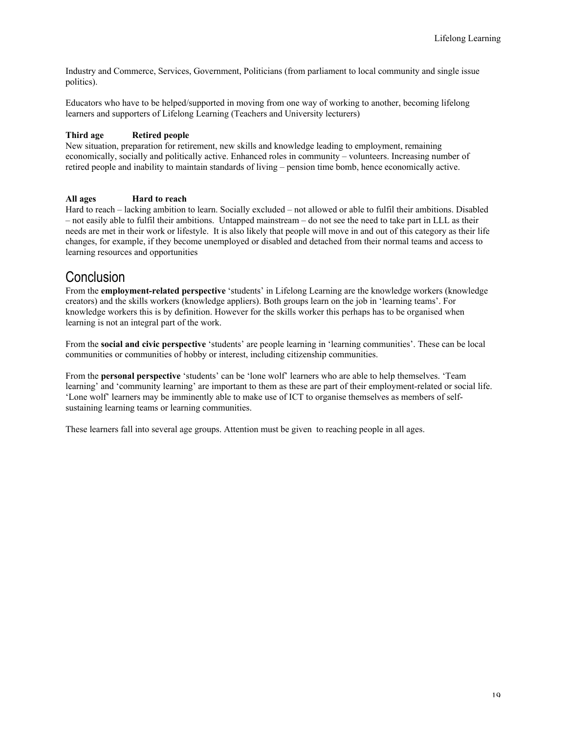Industry and Commerce, Services, Government, Politicians (from parliament to local community and single issue politics).

Educators who have to be helped/supported in moving from one way of working to another, becoming lifelong learners and supporters of Lifelong Learning (Teachers and University lecturers)

#### **Third age Retired people**

New situation, preparation for retirement, new skills and knowledge leading to employment, remaining economically, socially and politically active. Enhanced roles in community – volunteers. Increasing number of retired people and inability to maintain standards of living – pension time bomb, hence economically active.

#### **All ages Hard to reach**

Hard to reach – lacking ambition to learn. Socially excluded – not allowed or able to fulfil their ambitions. Disabled – not easily able to fulfil their ambitions. Untapped mainstream – do not see the need to take part in LLL as their needs are met in their work or lifestyle. It is also likely that people will move in and out of this category as their life changes, for example, if they become unemployed or disabled and detached from their normal teams and access to learning resources and opportunities

## **Conclusion**

From the **employment-related perspective** 'students' in Lifelong Learning are the knowledge workers (knowledge creators) and the skills workers (knowledge appliers). Both groups learn on the job in 'learning teams'. For knowledge workers this is by definition. However for the skills worker this perhaps has to be organised when learning is not an integral part of the work.

From the **social and civic perspective** 'students' are people learning in 'learning communities'. These can be local communities or communities of hobby or interest, including citizenship communities.

From the **personal perspective** 'students' can be 'lone wolf' learners who are able to help themselves. 'Team learning' and 'community learning' are important to them as these are part of their employment-related or social life. 'Lone wolf' learners may be imminently able to make use of ICT to organise themselves as members of selfsustaining learning teams or learning communities.

These learners fall into several age groups. Attention must be given to reaching people in all ages.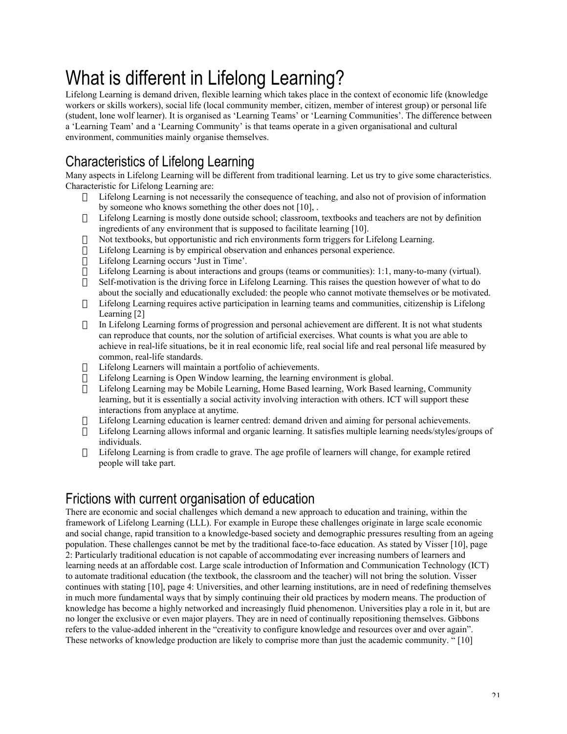# What is different in Lifelong Learning?

Lifelong Learning is demand driven, flexible learning which takes place in the context of economic life (knowledge workers or skills workers), social life (local community member, citizen, member of interest group) or personal life (student, lone wolf learner). It is organised as 'Learning Teams' or 'Learning Communities'. The difference between a 'Learning Team' and a 'Learning Community' is that teams operate in a given organisational and cultural environment, communities mainly organise themselves.

# Characteristics of Lifelong Learning

Many aspects in Lifelong Learning will be different from traditional learning. Let us try to give some characteristics. Characteristic for Lifelong Learning are:

- Lifelong Learning is not necessarily the consequence of teaching, and also not of provision of information by someone who knows something the other does not [10], .
- Lifelong Learning is mostly done outside school; classroom, textbooks and teachers are not by definition ingredients of any environment that is supposed to facilitate learning [10].
- Not textbooks, but opportunistic and rich environments form triggers for Lifelong Learning.
- Lifelong Learning is by empirical observation and enhances personal experience.
- Lifelong Learning occurs 'Just in Time'.
- Lifelong Learning is about interactions and groups (teams or communities): 1:1, many-to-many (virtual).
- Self-motivation is the driving force in Lifelong Learning. This raises the question however of what to do about the socially and educationally excluded: the people who cannot motivate themselves or be motivated.
- Lifelong Learning requires active participation in learning teams and communities, citizenship is Lifelong Learning [2]
- In Lifelong Learning forms of progression and personal achievement are different. It is not what students can reproduce that counts, nor the solution of artificial exercises. What counts is what you are able to achieve in real-life situations, be it in real economic life, real social life and real personal life measured by common, real-life standards.
- Lifelong Learners will maintain a portfolio of achievements.
- Lifelong Learning is Open Window learning, the learning environment is global.
- Lifelong Learning may be Mobile Learning, Home Based learning, Work Based learning, Community learning, but it is essentially a social activity involving interaction with others. ICT will support these interactions from anyplace at anytime.
- Lifelong Learning education is learner centred: demand driven and aiming for personal achievements.
- Lifelong Learning allows informal and organic learning. It satisfies multiple learning needs/styles/groups of individuals.
- Lifelong Learning is from cradle to grave. The age profile of learners will change, for example retired people will take part.

## Frictions with current organisation of education

There are economic and social challenges which demand a new approach to education and training, within the framework of Lifelong Learning (LLL). For example in Europe these challenges originate in large scale economic and social change, rapid transition to a knowledge-based society and demographic pressures resulting from an ageing population. These challenges cannot be met by the traditional face-to-face education. As stated by Visser [10], page 2: Particularly traditional education is not capable of accommodating ever increasing numbers of learners and learning needs at an affordable cost. Large scale introduction of Information and Communication Technology (ICT) to automate traditional education (the textbook, the classroom and the teacher) will not bring the solution. Visser continues with stating [10], page 4: Universities, and other learning institutions, are in need of redefining themselves in much more fundamental ways that by simply continuing their old practices by modern means. The production of knowledge has become a highly networked and increasingly fluid phenomenon. Universities play a role in it, but are no longer the exclusive or even major players. They are in need of continually repositioning themselves. Gibbons refers to the value-added inherent in the "creativity to configure knowledge and resources over and over again". These networks of knowledge production are likely to comprise more than just the academic community. " [10]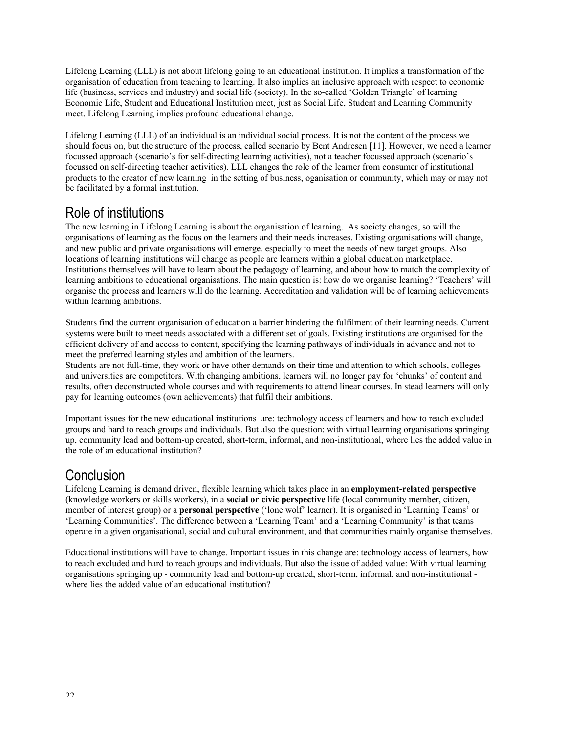Lifelong Learning (LLL) is not about lifelong going to an educational institution. It implies a transformation of the organisation of education from teaching to learning. It also implies an inclusive approach with respect to economic life (business, services and industry) and social life (society). In the so-called 'Golden Triangle' of learning Economic Life, Student and Educational Institution meet, just as Social Life, Student and Learning Community meet. Lifelong Learning implies profound educational change.

Lifelong Learning (LLL) of an individual is an individual social process. It is not the content of the process we should focus on, but the structure of the process, called scenario by Bent Andresen [11]. However, we need a learner focussed approach (scenario's for self-directing learning activities), not a teacher focussed approach (scenario's focussed on self-directing teacher activities). LLL changes the role of the learner from consumer of institutional products to the creator of new learning in the setting of business, oganisation or community, which may or may not be facilitated by a formal institution.

## Role of institutions

The new learning in Lifelong Learning is about the organisation of learning. As society changes, so will the organisations of learning as the focus on the learners and their needs increases. Existing organisations will change, and new public and private organisations will emerge, especially to meet the needs of new target groups. Also locations of learning institutions will change as people are learners within a global education marketplace. Institutions themselves will have to learn about the pedagogy of learning, and about how to match the complexity of learning ambitions to educational organisations. The main question is: how do we organise learning? 'Teachers' will organise the process and learners will do the learning. Accreditation and validation will be of learning achievements within learning ambitions.

Students find the current organisation of education a barrier hindering the fulfilment of their learning needs. Current systems were built to meet needs associated with a different set of goals. Existing institutions are organised for the efficient delivery of and access to content, specifying the learning pathways of individuals in advance and not to meet the preferred learning styles and ambition of the learners.

Students are not full-time, they work or have other demands on their time and attention to which schools, colleges and universities are competitors. With changing ambitions, learners will no longer pay for 'chunks' of content and results, often deconstructed whole courses and with requirements to attend linear courses. In stead learners will only pay for learning outcomes (own achievements) that fulfil their ambitions.

Important issues for the new educational institutions are: technology access of learners and how to reach excluded groups and hard to reach groups and individuals. But also the question: with virtual learning organisations springing up, community lead and bottom-up created, short-term, informal, and non-institutional, where lies the added value in the role of an educational institution?

## Conclusion

Lifelong Learning is demand driven, flexible learning which takes place in an **employment-related perspective** (knowledge workers or skills workers), in a **social or civic perspective** life (local community member, citizen, member of interest group) or a **personal perspective** ('lone wolf' learner). It is organised in 'Learning Teams' or 'Learning Communities'. The difference between a 'Learning Team' and a 'Learning Community' is that teams operate in a given organisational, social and cultural environment, and that communities mainly organise themselves.

Educational institutions will have to change. Important issues in this change are: technology access of learners, how to reach excluded and hard to reach groups and individuals. But also the issue of added value: With virtual learning organisations springing up - community lead and bottom-up created, short-term, informal, and non-institutional where lies the added value of an educational institution?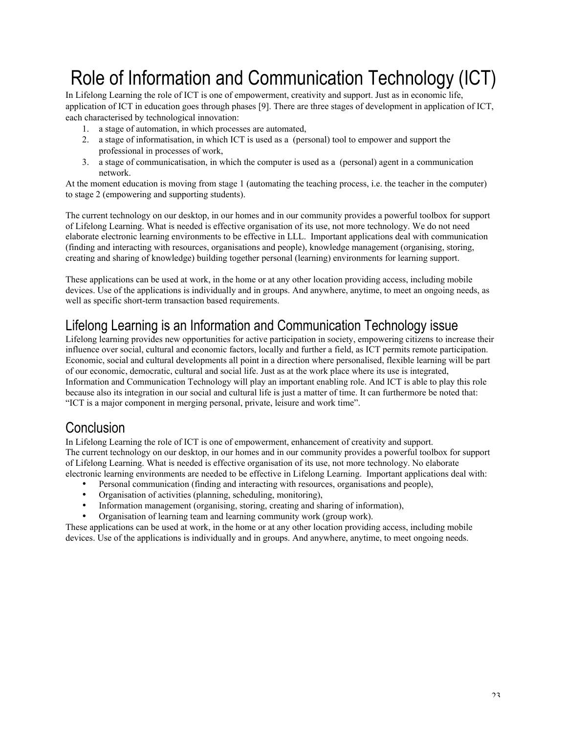# Role of Information and Communication Technology (ICT)

In Lifelong Learning the role of ICT is one of empowerment, creativity and support. Just as in economic life, application of ICT in education goes through phases [9]. There are three stages of development in application of ICT, each characterised by technological innovation:

- 1. a stage of automation, in which processes are automated,
- 2. a stage of informatisation, in which ICT is used as a (personal) tool to empower and support the professional in processes of work,
- 3. a stage of communicatisation, in which the computer is used as a (personal) agent in a communication network.

At the moment education is moving from stage 1 (automating the teaching process, i.e. the teacher in the computer) to stage 2 (empowering and supporting students).

The current technology on our desktop, in our homes and in our community provides a powerful toolbox for support of Lifelong Learning. What is needed is effective organisation of its use, not more technology. We do not need elaborate electronic learning environments to be effective in LLL. Important applications deal with communication (finding and interacting with resources, organisations and people), knowledge management (organising, storing, creating and sharing of knowledge) building together personal (learning) environments for learning support.

These applications can be used at work, in the home or at any other location providing access, including mobile devices. Use of the applications is individually and in groups. And anywhere, anytime, to meet an ongoing needs, as well as specific short-term transaction based requirements.

# Lifelong Learning is an Information and Communication Technology issue

Lifelong learning provides new opportunities for active participation in society, empowering citizens to increase their influence over social, cultural and economic factors, locally and further a field, as ICT permits remote participation. Economic, social and cultural developments all point in a direction where personalised, flexible learning will be part of our economic, democratic, cultural and social life. Just as at the work place where its use is integrated, Information and Communication Technology will play an important enabling role. And ICT is able to play this role because also its integration in our social and cultural life is just a matter of time. It can furthermore be noted that: "ICT is a major component in merging personal, private, leisure and work time".

## **Conclusion**

In Lifelong Learning the role of ICT is one of empowerment, enhancement of creativity and support. The current technology on our desktop, in our homes and in our community provides a powerful toolbox for support of Lifelong Learning. What is needed is effective organisation of its use, not more technology. No elaborate electronic learning environments are needed to be effective in Lifelong Learning. Important applications deal with:

Personal communication (finding and interacting with resources, organisations and people),

Organisation of activities (planning, scheduling, monitoring),

Information management (organising, storing, creating and sharing of information),

Organisation of learning team and learning community work (group work).

These applications can be used at work, in the home or at any other location providing access, including mobile devices. Use of the applications is individually and in groups. And anywhere, anytime, to meet ongoing needs.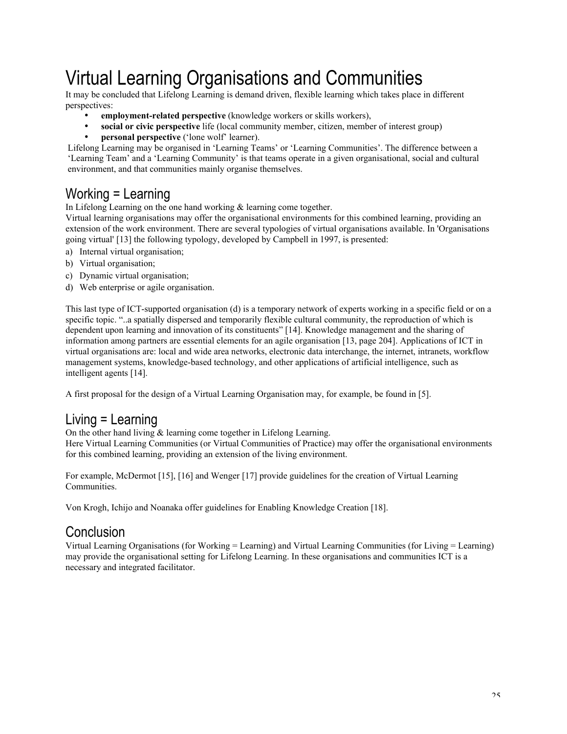# Virtual Learning Organisations and Communities

It may be concluded that Lifelong Learning is demand driven, flexible learning which takes place in different perspectives:

**employment-related perspective** (knowledge workers or skills workers),

**social or civic perspective** life (local community member, citizen, member of interest group) **personal perspective** ('lone wolf' learner).

Lifelong Learning may be organised in 'Learning Teams' or 'Learning Communities'. The difference between a 'Learning Team' and a 'Learning Community' is that teams operate in a given organisational, social and cultural environment, and that communities mainly organise themselves.

# Working = Learning

In Lifelong Learning on the one hand working & learning come together.

Virtual learning organisations may offer the organisational environments for this combined learning, providing an extension of the work environment. There are several typologies of virtual organisations available. In 'Organisations going virtual' [13] the following typology, developed by Campbell in 1997, is presented:

- a) Internal virtual organisation;
- b) Virtual organisation;
- c) Dynamic virtual organisation;
- d) Web enterprise or agile organisation.

This last type of ICT-supported organisation (d) is a temporary network of experts working in a specific field or on a specific topic. "..a spatially dispersed and temporarily flexible cultural community, the reproduction of which is dependent upon learning and innovation of its constituents" [14]. Knowledge management and the sharing of information among partners are essential elements for an agile organisation [13, page 204]. Applications of ICT in virtual organisations are: local and wide area networks, electronic data interchange, the internet, intranets, workflow management systems, knowledge-based technology, and other applications of artificial intelligence, such as intelligent agents [14].

A first proposal for the design of a Virtual Learning Organisation may, for example, be found in [5].

## Living = Learning

On the other hand living & learning come together in Lifelong Learning.

Here Virtual Learning Communities (or Virtual Communities of Practice) may offer the organisational environments for this combined learning, providing an extension of the living environment.

For example, McDermot [15], [16] and Wenger [17] provide guidelines for the creation of Virtual Learning Communities.

Von Krogh, Ichijo and Noanaka offer guidelines for Enabling Knowledge Creation [18].

# **Conclusion**

Virtual Learning Organisations (for Working = Learning) and Virtual Learning Communities (for Living = Learning) may provide the organisational setting for Lifelong Learning. In these organisations and communities ICT is a necessary and integrated facilitator.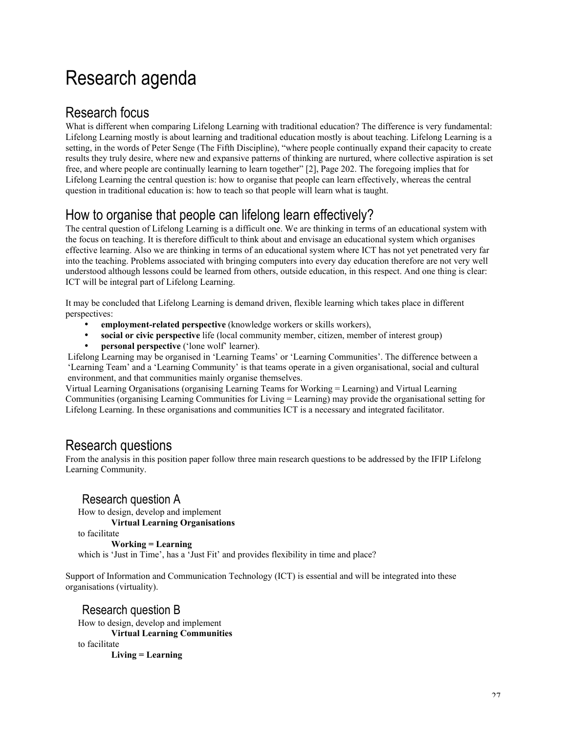# Research agenda

## Research focus

What is different when comparing Lifelong Learning with traditional education? The difference is very fundamental: Lifelong Learning mostly is about learning and traditional education mostly is about teaching. Lifelong Learning is a setting, in the words of Peter Senge (The Fifth Discipline), "where people continually expand their capacity to create results they truly desire, where new and expansive patterns of thinking are nurtured, where collective aspiration is set free, and where people are continually learning to learn together" [2], Page 202. The foregoing implies that for Lifelong Learning the central question is: how to organise that people can learn effectively, whereas the central question in traditional education is: how to teach so that people will learn what is taught.

# How to organise that people can lifelong learn effectively?

The central question of Lifelong Learning is a difficult one. We are thinking in terms of an educational system with the focus on teaching. It is therefore difficult to think about and envisage an educational system which organises effective learning. Also we are thinking in terms of an educational system where ICT has not yet penetrated very far into the teaching. Problems associated with bringing computers into every day education therefore are not very well understood although lessons could be learned from others, outside education, in this respect. And one thing is clear: ICT will be integral part of Lifelong Learning.

It may be concluded that Lifelong Learning is demand driven, flexible learning which takes place in different perspectives:

**employment-related perspective** (knowledge workers or skills workers),

**social or civic perspective** life (local community member, citizen, member of interest group) **personal perspective** ('lone wolf' learner).

Lifelong Learning may be organised in 'Learning Teams' or 'Learning Communities'. The difference between a 'Learning Team' and a 'Learning Community' is that teams operate in a given organisational, social and cultural environment, and that communities mainly organise themselves.

Virtual Learning Organisations (organising Learning Teams for Working = Learning) and Virtual Learning Communities (organising Learning Communities for Living = Learning) may provide the organisational setting for Lifelong Learning. In these organisations and communities ICT is a necessary and integrated facilitator.

## Research questions

From the analysis in this position paper follow three main research questions to be addressed by the IFIP Lifelong Learning Community.

## Research question A

How to design, develop and implement **Virtual Learning Organisations**

```
to facilitate
```

```
Working = Learning
```
which is 'Just in Time', has a 'Just Fit' and provides flexibility in time and place?

Support of Information and Communication Technology (ICT) is essential and will be integrated into these organisations (virtuality).

Research question B How to design, develop and implement **Virtual Learning Communities** to facilitate **Living = Learning**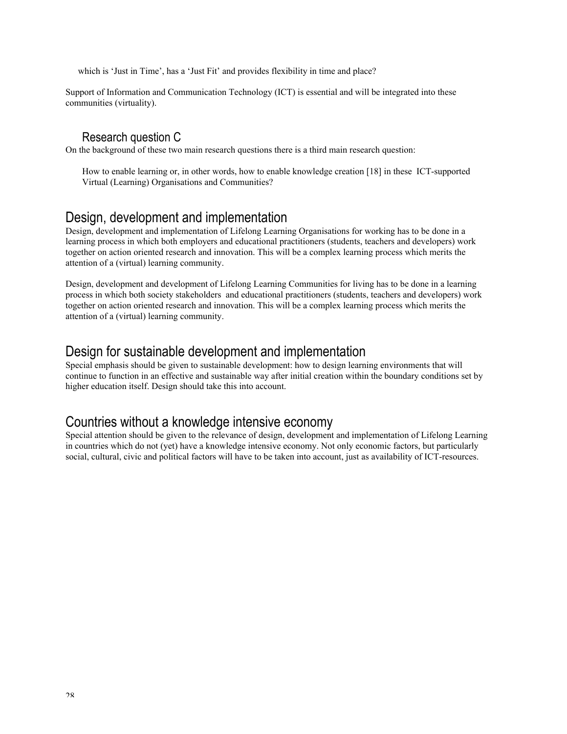which is 'Just in Time', has a 'Just Fit' and provides flexibility in time and place?

Support of Information and Communication Technology (ICT) is essential and will be integrated into these communities (virtuality).

### Research question C

On the background of these two main research questions there is a third main research question:

How to enable learning or, in other words, how to enable knowledge creation [18] in these ICT-supported Virtual (Learning) Organisations and Communities?

## Design, development and implementation

Design, development and implementation of Lifelong Learning Organisations for working has to be done in a learning process in which both employers and educational practitioners (students, teachers and developers) work together on action oriented research and innovation. This will be a complex learning process which merits the attention of a (virtual) learning community.

Design, development and development of Lifelong Learning Communities for living has to be done in a learning process in which both society stakeholders and educational practitioners (students, teachers and developers) work together on action oriented research and innovation. This will be a complex learning process which merits the attention of a (virtual) learning community.

## Design for sustainable development and implementation

Special emphasis should be given to sustainable development: how to design learning environments that will continue to function in an effective and sustainable way after initial creation within the boundary conditions set by higher education itself. Design should take this into account.

## Countries without a knowledge intensive economy

Special attention should be given to the relevance of design, development and implementation of Lifelong Learning in countries which do not (yet) have a knowledge intensive economy. Not only economic factors, but particularly social, cultural, civic and political factors will have to be taken into account, just as availability of ICT-resources.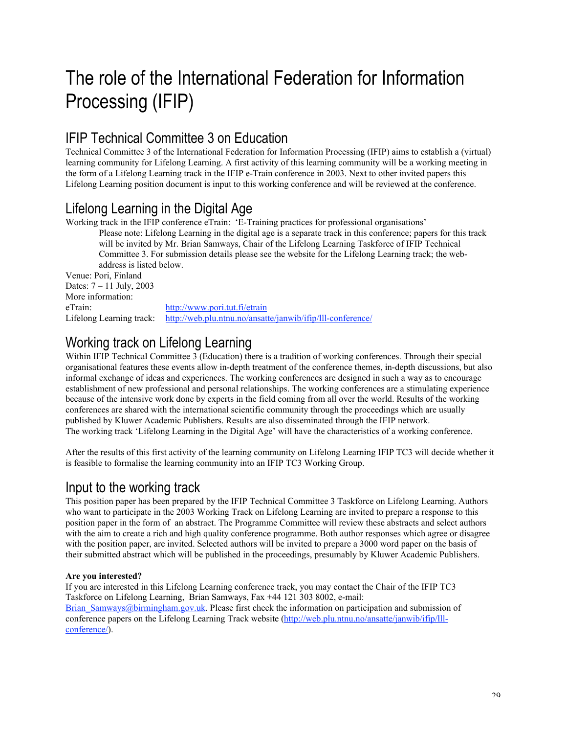# The role of the International Federation for Information Processing (IFIP)

## IFIP Technical Committee 3 on Education

Technical Committee 3 of the International Federation for Information Processing (IFIP) aims to establish a (virtual) learning community for Lifelong Learning. A first activity of this learning community will be a working meeting in the form of a Lifelong Learning track in the IFIP e-Train conference in 2003. Next to other invited papers this Lifelong Learning position document is input to this working conference and will be reviewed at the conference.

# Lifelong Learning in the Digital Age

Working track in the IFIP conference eTrain: 'E-Training practices for professional organisations'

Please note: Lifelong Learning in the digital age is a separate track in this conference; papers for this track will be invited by Mr. Brian Samways, Chair of the Lifelong Learning Taskforce of IFIP Technical Committee 3. For submission details please see the website for the Lifelong Learning track; the webaddress is listed below.

Venue: Pori, Finland Dates: 7 – 11 July, 2003 More information: eTrain: http://www.pori.tut.fi/etrain Lifelong Learning track: http://web.plu.ntnu.no/ansatte/janwib/ifip/lll-conference/

# Working track on Lifelong Learning

Within IFIP Technical Committee 3 (Education) there is a tradition of working conferences. Through their special organisational features these events allow in-depth treatment of the conference themes, in-depth discussions, but also informal exchange of ideas and experiences. The working conferences are designed in such a way as to encourage establishment of new professional and personal relationships. The working conferences are a stimulating experience because of the intensive work done by experts in the field coming from all over the world. Results of the working conferences are shared with the international scientific community through the proceedings which are usually published by Kluwer Academic Publishers. Results are also disseminated through the IFIP network. The working track 'Lifelong Learning in the Digital Age' will have the characteristics of a working conference.

After the results of this first activity of the learning community on Lifelong Learning IFIP TC3 will decide whether it is feasible to formalise the learning community into an IFIP TC3 Working Group.

## Input to the working track

This position paper has been prepared by the IFIP Technical Committee 3 Taskforce on Lifelong Learning. Authors who want to participate in the 2003 Working Track on Lifelong Learning are invited to prepare a response to this position paper in the form of an abstract. The Programme Committee will review these abstracts and select authors with the aim to create a rich and high quality conference programme. Both author responses which agree or disagree with the position paper, are invited. Selected authors will be invited to prepare a 3000 word paper on the basis of their submitted abstract which will be published in the proceedings, presumably by Kluwer Academic Publishers.

#### **Are you interested?**

If you are interested in this Lifelong Learning conference track, you may contact the Chair of the IFIP TC3 Taskforce on Lifelong Learning, Brian Samways, Fax +44 121 303 8002, e-mail: Brian\_Samways@birmingham.gov.uk. Please first check the information on participation and submission of conference papers on the Lifelong Learning Track website (http://web.plu.ntnu.no/ansatte/janwib/ifip/lllconference/).